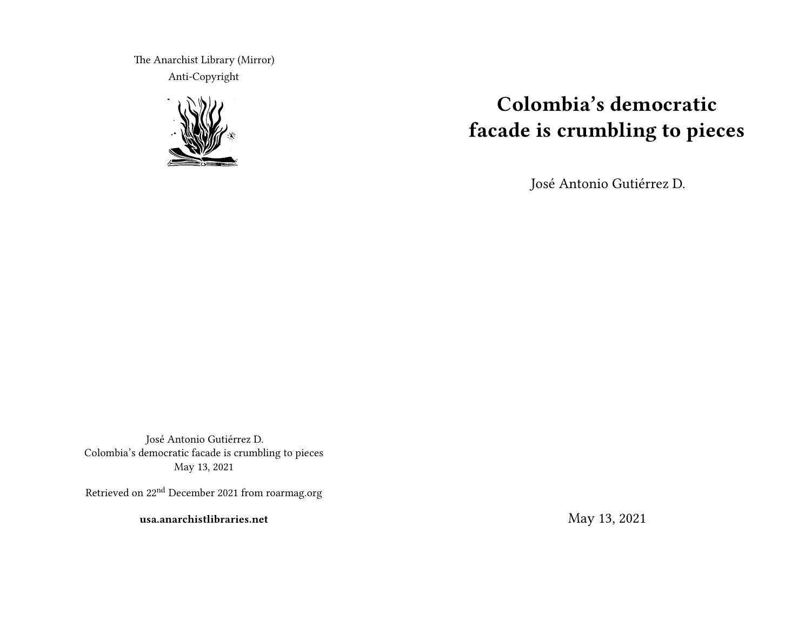The Anarchist Library (Mirror) Anti-Copyright



# **Colombia's democratic facade is crumbling to pieces**

José Antonio Gutiérrez D.

José Antonio Gutiérrez D. Colombia's democratic facade is crumbling to pieces May 13, 2021

Retrieved on 22nd December 2021 from roarmag.org

**usa.anarchistlibraries.net**

May 13, 2021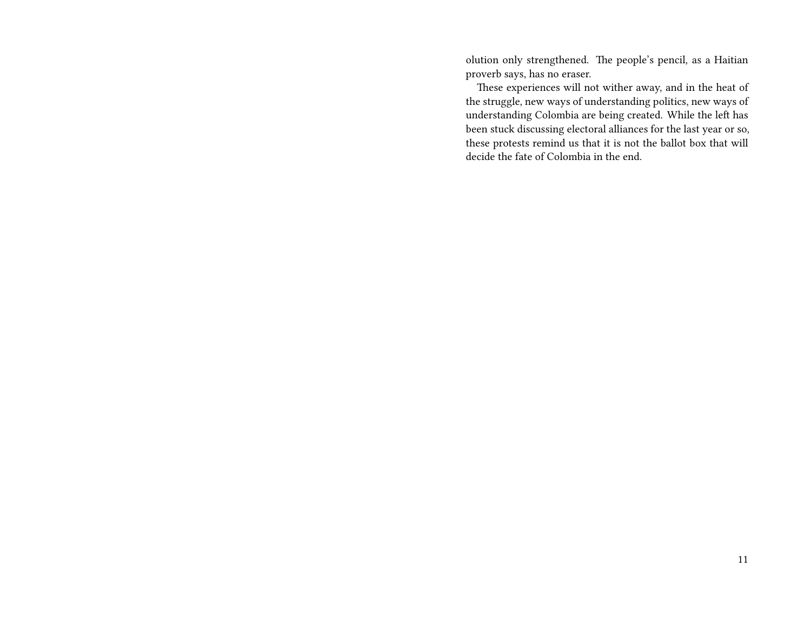olution only strengthened. The people's pencil, as a Haitian proverb says, has no eraser.

These experiences will not wither away, and in the heat of the struggle, new ways of understanding politics, new ways of understanding Colombia are being created. While the left has been stuck discussing electoral alliances for the last year or so, these protests remind us that it is not the ballot box that will decide the fate of Colombia in the end.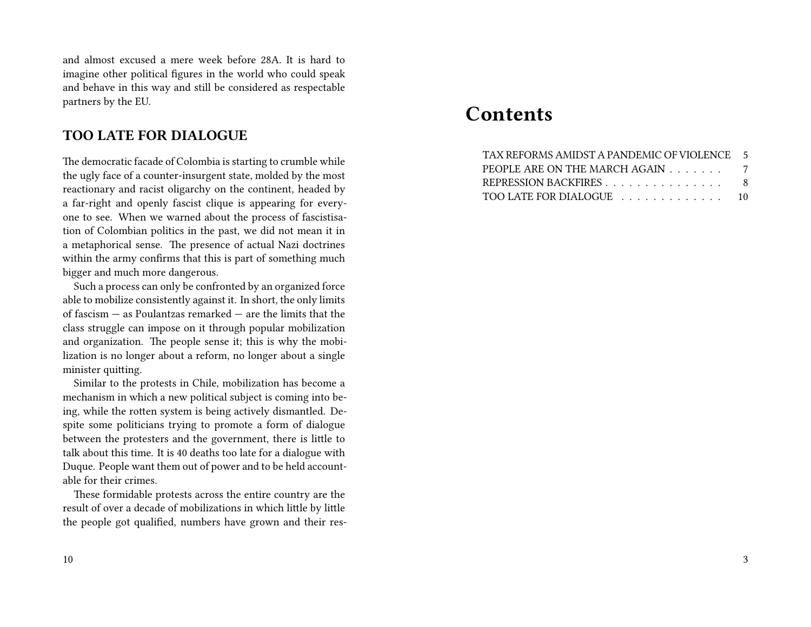and almost excused a mere week before 28A. It is hard to imagine other political figures in the world who could speak and behave in this way and still be considered as respectable partners by the EU.

## **TOO LATE FOR DIALOGUE**

The democratic facade of Colombia is starting to crumble while the ugly face of a counter-insurgent state, molded by the most reactionary and racist oligarchy on the continent, headed by a far-right and openly fascist clique is appearing for everyone to see. When we warned about the process of fascistisation of Colombian politics in the past, we did not mean it in a metaphorical sense. The presence of actual Nazi doctrines within the army confirms that this is part of something much bigger and much more dangerous.

Such a process can only be confronted by an organized force able to mobilize consistently against it. In short, the only limits of fascism — as Poulantzas remarked — are the limits that the class struggle can impose on it through popular mobilization and organization. The people sense it; this is why the mobilization is no longer about a reform, no longer about a single minister quitting.

Similar to the protests in Chile, mobilization has become a mechanism in which a new political subject is coming into being, while the rotten system is being actively dismantled. Despite some politicians trying to promote a form of dialogue between the protesters and the government, there is little to talk about this time. It is 40 deaths too late for a dialogue with Duque. People want them out of power and to be held accountable for their crimes.

These formidable protests across the entire country are the result of over a decade of mobilizations in which little by little the people got qualified, numbers have grown and their res-

#### 10

## **Contents**

| TAX REFORMS AMIDST A PANDEMIC OF VIOLENCE 5 |  |
|---------------------------------------------|--|
| PEOPLE ARE ON THE MARCH AGAIN               |  |
| REPRESSION BACKFIRES 8                      |  |
| TOO LATE FOR DIALOGUE  10                   |  |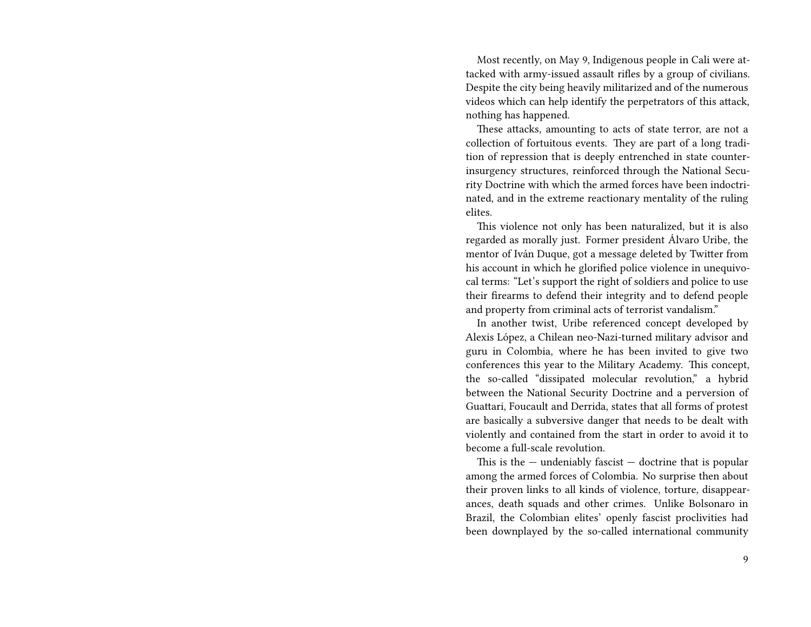Most recently, on May 9, Indigenous people in Cali were attacked with army-issued assault rifles by a group of civilians. Despite the city being heavily militarized and of the numerous videos which can help identify the perpetrators of this attack, nothing has happened.

These attacks, amounting to acts of state terror, are not a collection of fortuitous events. They are part of a long tradition of repression that is deeply entrenched in state counterinsurgency structures, reinforced through the National Security Doctrine with which the armed forces have been indoctrinated, and in the extreme reactionary mentality of the ruling elites.

This violence not only has been naturalized, but it is also regarded as morally just. Former president Álvaro Uribe, the mentor of Iván Duque, got a message deleted by Twitter from his account in which he glorified police violence in unequivocal terms: "Let's support the right of soldiers and police to use their firearms to defend their integrity and to defend people and property from criminal acts of terrorist vandalism."

In another twist, Uribe referenced concept developed by Alexis López, a Chilean neo-Nazi-turned military advisor and guru in Colombia, where he has been invited to give two conferences this year to the Military Academy. This concept, the so-called "dissipated molecular revolution," a hybrid between the National Security Doctrine and a perversion of Guattari, Foucault and Derrida, states that all forms of protest are basically a subversive danger that needs to be dealt with violently and contained from the start in order to avoid it to become a full-scale revolution.

This is the  $-$  undeniably fascist  $-$  doctrine that is popular among the armed forces of Colombia. No surprise then about their proven links to all kinds of violence, torture, disappearances, death squads and other crimes. Unlike Bolsonaro in Brazil, the Colombian elites' openly fascist proclivities had been downplayed by the so-called international community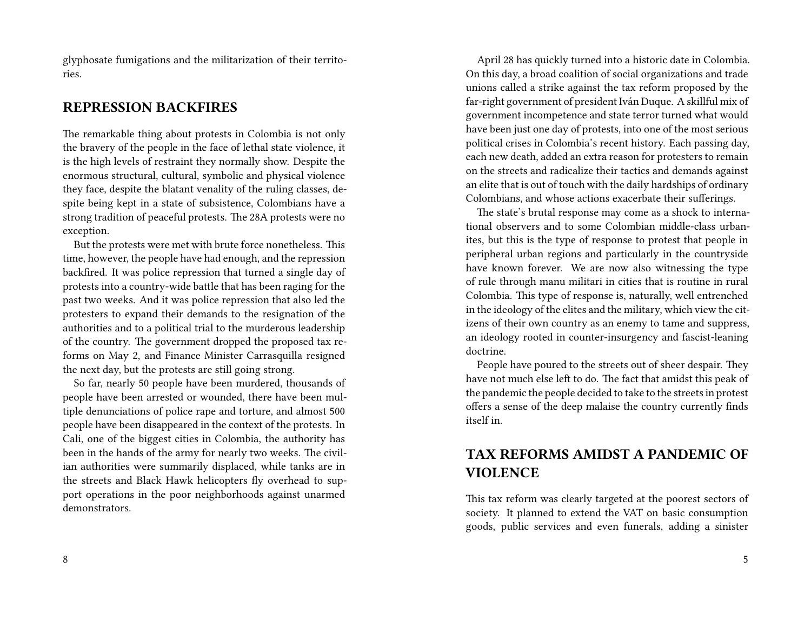glyphosate fumigations and the militarization of their territories.

## **REPRESSION BACKFIRES**

The remarkable thing about protests in Colombia is not only the bravery of the people in the face of lethal state violence, it is the high levels of restraint they normally show. Despite the enormous structural, cultural, symbolic and physical violence they face, despite the blatant venality of the ruling classes, despite being kept in a state of subsistence, Colombians have a strong tradition of peaceful protests. The 28A protests were no exception.

But the protests were met with brute force nonetheless. This time, however, the people have had enough, and the repression backfired. It was police repression that turned a single day of protests into a country-wide battle that has been raging for the past two weeks. And it was police repression that also led the protesters to expand their demands to the resignation of the authorities and to a political trial to the murderous leadership of the country. The government dropped the proposed tax reforms on May 2, and Finance Minister Carrasquilla resigned the next day, but the protests are still going strong.

So far, nearly 50 people have been murdered, thousands of people have been arrested or wounded, there have been multiple denunciations of police rape and torture, and almost 500 people have been disappeared in the context of the protests. In Cali, one of the biggest cities in Colombia, the authority has been in the hands of the army for nearly two weeks. The civilian authorities were summarily displaced, while tanks are in the streets and Black Hawk helicopters fly overhead to support operations in the poor neighborhoods against unarmed demonstrators.

April 28 has quickly turned into a historic date in Colombia. On this day, a broad coalition of social organizations and trade unions called a strike against the tax reform proposed by the far-right government of president Iván Duque. A skillful mix of government incompetence and state terror turned what would have been just one day of protests, into one of the most serious political crises in Colombia's recent history. Each passing day, each new death, added an extra reason for protesters to remain on the streets and radicalize their tactics and demands against an elite that is out of touch with the daily hardships of ordinary Colombians, and whose actions exacerbate their sufferings.

The state's brutal response may come as a shock to international observers and to some Colombian middle-class urbanites, but this is the type of response to protest that people in peripheral urban regions and particularly in the countryside have known forever. We are now also witnessing the type of rule through manu militari in cities that is routine in rural Colombia. This type of response is, naturally, well entrenched in the ideology of the elites and the military, which view the citizens of their own country as an enemy to tame and suppress, an ideology rooted in counter-insurgency and fascist-leaning doctrine.

People have poured to the streets out of sheer despair. They have not much else left to do. The fact that amidst this peak of the pandemic the people decided to take to the streets in protest offers a sense of the deep malaise the country currently finds itself in.

## **TAX REFORMS AMIDST A PANDEMIC OF VIOLENCE**

This tax reform was clearly targeted at the poorest sectors of society. It planned to extend the VAT on basic consumption goods, public services and even funerals, adding a sinister